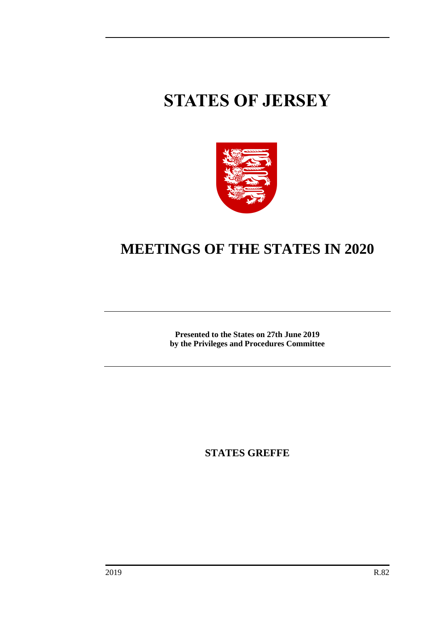# **STATES OF JERSEY**



## **MEETINGS OF THE STATES IN 2020**

**Presented to the States on 27th June 2019 by the Privileges and Procedures Committee**

**STATES GREFFE**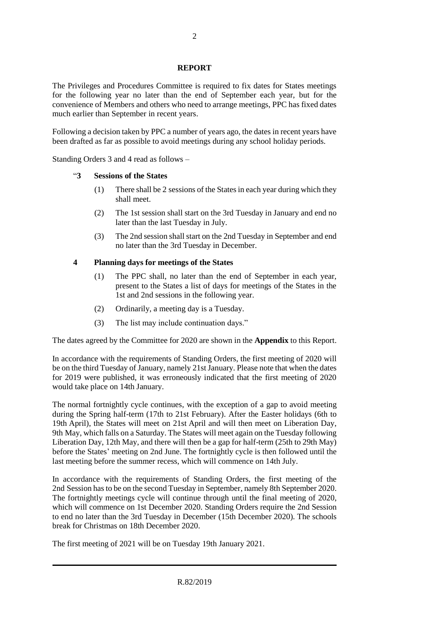#### **REPORT**

The Privileges and Procedures Committee is required to fix dates for States meetings for the following year no later than the end of September each year, but for the convenience of Members and others who need to arrange meetings, PPC has fixed dates much earlier than September in recent years.

Following a decision taken by PPC a number of years ago, the dates in recent years have been drafted as far as possible to avoid meetings during any school holiday periods.

Standing Orders 3 and 4 read as follows –

#### "**3 Sessions of the States**

- (1) There shall be 2 sessions of the States in each year during which they shall meet.
- (2) The 1st session shall start on the 3rd Tuesday in January and end no later than the last Tuesday in July.
- (3) The 2nd session shall start on the 2nd Tuesday in September and end no later than the 3rd Tuesday in December.

#### **4 Planning days for meetings of the States**

- (1) The PPC shall, no later than the end of September in each year, present to the States a list of days for meetings of the States in the 1st and 2nd sessions in the following year.
- (2) Ordinarily, a meeting day is a Tuesday.
- (3) The list may include continuation days."

The dates agreed by the Committee for 2020 are shown in the **Appendix** to this Report.

In accordance with the requirements of Standing Orders, the first meeting of 2020 will be on the third Tuesday of January, namely 21stJanuary. Please note that when the dates for 2019 were published, it was erroneously indicated that the first meeting of 2020 would take place on 14th January.

The normal fortnightly cycle continues, with the exception of a gap to avoid meeting during the Spring half-term (17th to 21st February). After the Easter holidays (6th to 19th April), the States will meet on 21st April and will then meet on Liberation Day, 9th May, which falls on a Saturday. The States will meet again on the Tuesday following Liberation Day, 12th May, and there will then be a gap for half-term (25th to 29th May) before the States' meeting on 2nd June. The fortnightly cycle is then followed until the last meeting before the summer recess, which will commence on 14th July.

In accordance with the requirements of Standing Orders, the first meeting of the 2nd Session has to be on the second Tuesday in September, namely 8th September 2020. The fortnightly meetings cycle will continue through until the final meeting of 2020, which will commence on 1st December 2020. Standing Orders require the 2nd Session to end no later than the 3rd Tuesday in December (15th December 2020). The schools break for Christmas on 18th December 2020.

The first meeting of 2021 will be on Tuesday 19th January 2021.